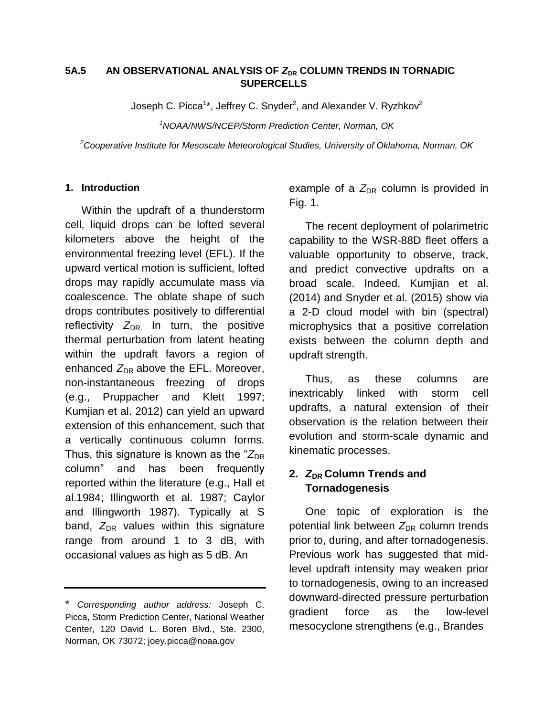### 5A.5 AN OBSERVATIONAL ANALYSIS OF  $Z_{DR}$  COLUMN TRENDS IN TORNADIC **SUPERCELLS**

Joseph C. Picca<sup>1</sup>\*, Jeffrey C. Snyder<sup>2</sup>, and Alexander V. Ryzhkov<sup>2</sup>

*<sup>1</sup>NOAA/NWS/NCEP/Storm Prediction Center, Norman, OK*

*<sup>2</sup>Cooperative Institute for Mesoscale Meteorological Studies, University of Oklahoma, Norman, OK*

#### **1. Introduction**

Within the updraft of a thunderstorm cell, liquid drops can be lofted several kilometers above the height of the environmental freezing level (EFL). If the upward vertical motion is sufficient, lofted drops may rapidly accumulate mass via coalescence. The oblate shape of such drops contributes positively to differential reflectivity  $Z_{\text{DR}}$  In turn, the positive thermal perturbation from latent heating within the updraft favors a region of enhanced  $Z_{\text{DR}}$  above the EFL. Moreover, non-instantaneous freezing of drops (e.g., Pruppacher and Klett 1997; Kumjian et al. 2012) can yield an upward extension of this enhancement, such that a vertically continuous column forms. Thus, this signature is known as the  $Z_{\text{DR}}$ column" and has been frequently reported within the literature (e.g., Hall et al.1984; Illingworth et al. 1987; Caylor and Illingworth 1987). Typically at S band,  $Z_{DR}$  values within this signature range from around 1 to 3 dB, with occasional values as high as 5 dB. An

example of a  $Z_{DR}$  column is provided in Fig. 1.

The recent deployment of polarimetric capability to the WSR-88D fleet offers a valuable opportunity to observe, track, and predict convective updrafts on a broad scale. Indeed, Kumjian et al. (2014) and Snyder et al. (2015) show via a 2-D cloud model with bin (spectral) microphysics that a positive correlation exists between the column depth and updraft strength.

Thus, as these columns are inextricably linked with storm cell updrafts, a natural extension of their observation is the relation between their evolution and storm-scale dynamic and kinematic processes.

# **2.** *Z***DR Column Trends and Tornadogenesis**

One topic of exploration is the potential link between Z<sub>DR</sub> column trends prior to, during, and after tornadogenesis. Previous work has suggested that midlevel updraft intensity may weaken prior to tornadogenesis, owing to an increased downward-directed pressure perturbation gradient force as the low-level mesocyclone strengthens (e.g., Brandes

<sup>\*</sup> *Corresponding author address:* Joseph C. Picca, Storm Prediction Center, National Weather Center, 120 David L. Boren Blvd., Ste. 2300, Norman, OK 73072; joey.picca@noaa.gov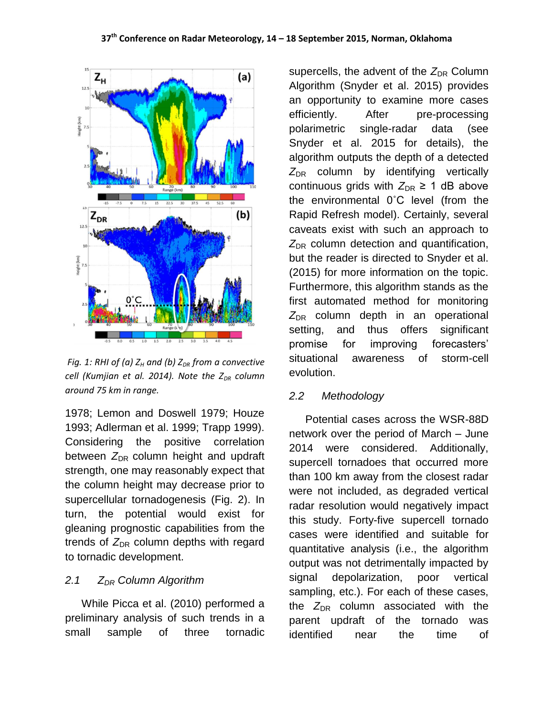

*Fig. 1: RHI of (a) Z<sup>H</sup> and (b) ZDR from a convective cell (Kumjian et al. 2014). Note the ZDR column around 75 km in range.* 

1978; Lemon and Doswell 1979; Houze 1993; Adlerman et al. 1999; Trapp 1999). Considering the positive correlation between  $Z_{DR}$  column height and updraft strength, one may reasonably expect that the column height may decrease prior to supercellular tornadogenesis (Fig. 2). In turn, the potential would exist for gleaning prognostic capabilities from the trends of  $Z_{\text{DR}}$  column depths with regard to tornadic development.

## *2.1 ZDR Column Algorithm*

While Picca et al. (2010) performed a preliminary analysis of such trends in a small sample of three tornadic

supercells, the advent of the  $Z_{DR}$  Column Algorithm (Snyder et al. 2015) provides an opportunity to examine more cases efficiently. After pre-processing polarimetric single-radar data (see Snyder et al. 2015 for details), the algorithm outputs the depth of a detected  $Z_{DR}$  column by identifying vertically continuous grids with  $Z_{\text{DR}} \geq 1$  dB above the environmental 0˚C level (from the Rapid Refresh model). Certainly, several caveats exist with such an approach to  $Z_{\text{DR}}$  column detection and quantification, but the reader is directed to Snyder et al. (2015) for more information on the topic. Furthermore, this algorithm stands as the first automated method for monitoring  $Z_{DR}$  column depth in an operational setting, and thus offers significant promise for improving forecasters' situational awareness of storm-cell evolution.

### *2.2 Methodology*

Potential cases across the WSR-88D network over the period of March – June 2014 were considered. Additionally, supercell tornadoes that occurred more than 100 km away from the closest radar were not included, as degraded vertical radar resolution would negatively impact this study. Forty-five supercell tornado cases were identified and suitable for quantitative analysis (i.e., the algorithm output was not detrimentally impacted by signal depolarization, poor vertical sampling, etc.). For each of these cases, the  $Z_{DR}$  column associated with the parent updraft of the tornado was identified near the time of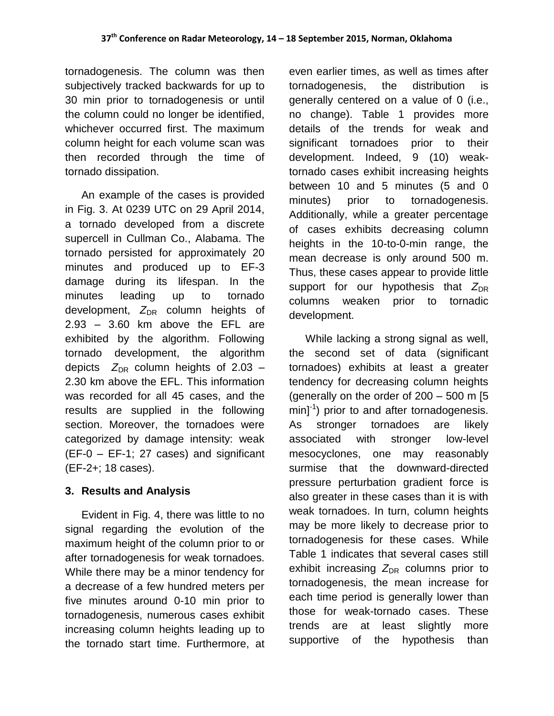tornadogenesis. The column was then subjectively tracked backwards for up to 30 min prior to tornadogenesis or until the column could no longer be identified, whichever occurred first. The maximum column height for each volume scan was then recorded through the time of tornado dissipation.

An example of the cases is provided in Fig. 3. At 0239 UTC on 29 April 2014, a tornado developed from a discrete supercell in Cullman Co., Alabama. The tornado persisted for approximately 20 minutes and produced up to EF-3 damage during its lifespan. In the minutes leading up to tornado development, Z<sub>DR</sub> column heights of 2.93 – 3.60 km above the EFL are exhibited by the algorithm. Following tornado development, the algorithm depicts  $Z_{DR}$  column heights of 2.03 – 2.30 km above the EFL. This information was recorded for all 45 cases, and the results are supplied in the following section. Moreover, the tornadoes were categorized by damage intensity: weak (EF-0 – EF-1; 27 cases) and significant (EF-2+; 18 cases).

## **3. Results and Analysis**

Evident in Fig. 4, there was little to no signal regarding the evolution of the maximum height of the column prior to or after tornadogenesis for weak tornadoes. While there may be a minor tendency for a decrease of a few hundred meters per five minutes around 0-10 min prior to tornadogenesis, numerous cases exhibit increasing column heights leading up to the tornado start time. Furthermore, at

even earlier times, as well as times after tornadogenesis, the distribution is generally centered on a value of 0 (i.e., no change). Table 1 provides more details of the trends for weak and significant tornadoes prior to their development. Indeed, 9 (10) weaktornado cases exhibit increasing heights between 10 and 5 minutes (5 and 0 minutes) prior to tornadogenesis. Additionally, while a greater percentage of cases exhibits decreasing column heights in the 10-to-0-min range, the mean decrease is only around 500 m. Thus, these cases appear to provide little support for our hypothesis that  $Z_{\text{DR}}$ columns weaken prior to tornadic development.

While lacking a strong signal as well, the second set of data (significant tornadoes) exhibits at least a greater tendency for decreasing column heights (generally on the order of  $200 - 500$  m  $[5]$  $min^{-1}$ ) prior to and after tornadogenesis. As stronger tornadoes are likely associated with stronger low-level mesocyclones, one may reasonably surmise that the downward-directed pressure perturbation gradient force is also greater in these cases than it is with weak tornadoes. In turn, column heights may be more likely to decrease prior to tornadogenesis for these cases. While Table 1 indicates that several cases still exhibit increasing  $Z_{DR}$  columns prior to tornadogenesis, the mean increase for each time period is generally lower than those for weak-tornado cases. These trends are at least slightly more supportive of the hypothesis than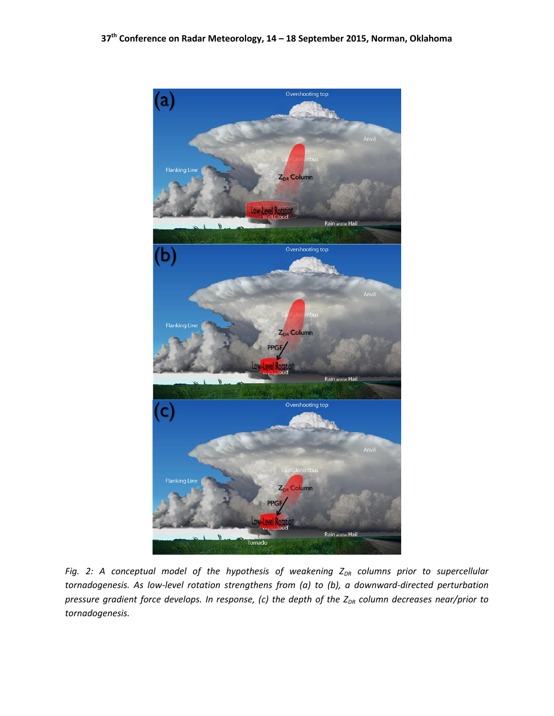

*Fig. 2: A conceptual model of the hypothesis of weakening Z<sub>DR</sub> columns prior to supercellular tornadogenesis. As low-level rotation strengthens from (a) to (b), a downward-directed perturbation pressure gradient force develops. In response, (c) the depth of the ZDR column decreases near/prior to tornadogenesis.*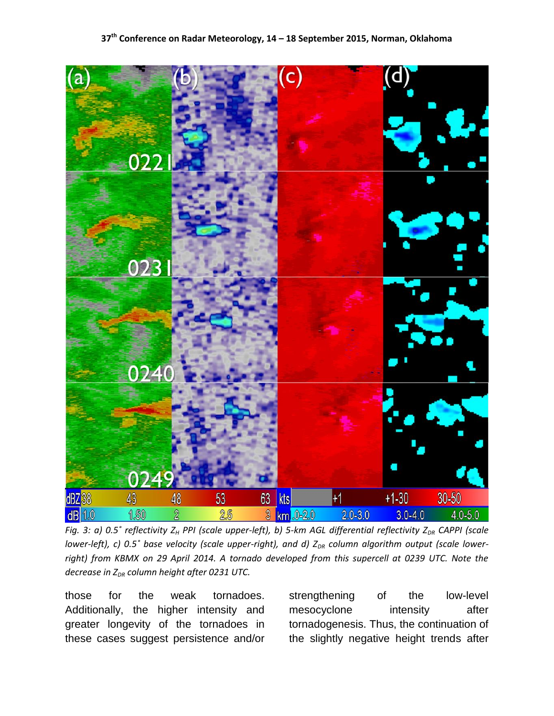

*Fig. 3: a) 0.5˚ reflectivity Z<sup>H</sup> PPI (scale upper-left), b) 5-km AGL differential reflectivity ZDR CAPPI (scale lower-left), c)* 0.5° base velocity (scale upper-right), and d) Z<sub>DR</sub> column algorithm output (scale lowerright) from KBMX on 29 April 2014. A tornado developed from this supercell at 0239 UTC. Note the *decrease in ZDR column height after 0231 UTC.* 

those for the weak tornadoes. Additionally, the higher intensity and greater longevity of the tornadoes in these cases suggest persistence and/or strengthening of the low-level mesocyclone intensity after tornadogenesis. Thus, the continuation of the slightly negative height trends after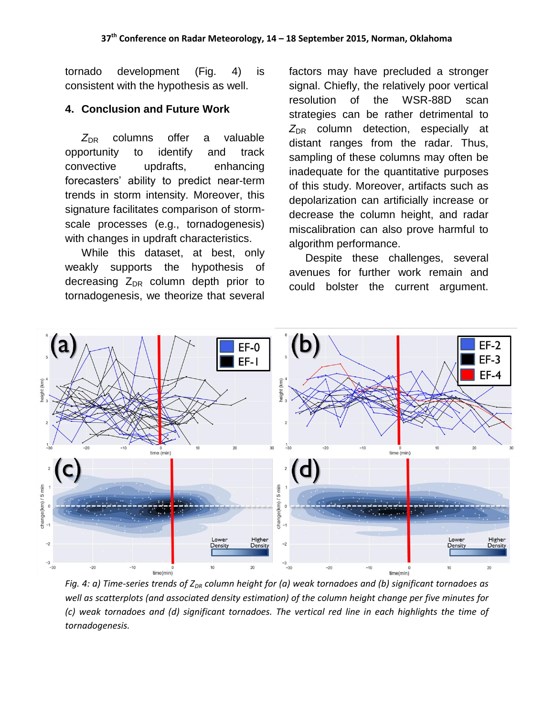tornado development (Fig. 4) is consistent with the hypothesis as well.

#### **4. Conclusion and Future Work**

Z<sub>DR</sub> columns offer a valuable opportunity to identify and track convective updrafts, enhancing forecasters' ability to predict near-term trends in storm intensity. Moreover, this signature facilitates comparison of stormscale processes (e.g., tornadogenesis) with changes in updraft characteristics.

While this dataset, at best, only weakly supports the hypothesis of decreasing  $Z_{DR}$  column depth prior to tornadogenesis, we theorize that several

factors may have precluded a stronger signal. Chiefly, the relatively poor vertical resolution of the WSR-88D scan strategies can be rather detrimental to  $Z_{\text{DR}}$  column detection, especially at distant ranges from the radar. Thus, sampling of these columns may often be inadequate for the quantitative purposes of this study. Moreover, artifacts such as depolarization can artificially increase or decrease the column height, and radar miscalibration can also prove harmful to algorithm performance.

Despite these challenges, several avenues for further work remain and could bolster the current argument.



*Fig. 4: a) Time-series trends of ZDR column height for (a) weak tornadoes and (b) significant tornadoes as well as scatterplots (and associated density estimation) of the column height change per five minutes for (c) weak tornadoes and (d) significant tornadoes. The vertical red line in each highlights the time of tornadogenesis.*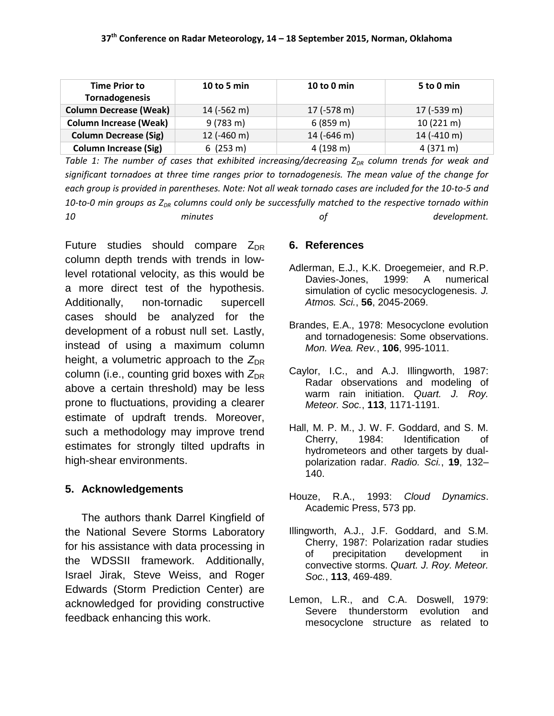| <b>Time Prior to</b><br>Tornadogenesis | 10 to 5 min        | 10 to 0 min   | 5 to 0 min          |
|----------------------------------------|--------------------|---------------|---------------------|
| <b>Column Decrease (Weak)</b>          | $14$ (-562 m)      | $17$ (-578 m) | $17$ (-539 m)       |
| <b>Column Increase (Weak)</b>          | $9(783 \text{ m})$ | 6(859 m)      | $10(221 \text{ m})$ |
| <b>Column Decrease (Sig)</b>           | $12$ (-460 m)      | 14 (-646 m)   | $14$ (-410 m)       |
| <b>Column Increase (Sig)</b>           | 6(253 m)           | 4(198 m)      | $4(371 \text{ m})$  |

*Table 1: The number of cases that exhibited increasing/decreasing Z<sub>DR</sub> column trends for weak and significant tornadoes at three time ranges prior to tornadogenesis. The mean value of the change for each group is provided in parentheses. Note: Not all weak tornado cases are included for the 10-to-5 and*  10-to-0 min groups as Z<sub>DR</sub> columns could only be successfully matched to the respective tornado within *10 minutes of development.* 

Future studies should compare  $Z_{DR}$ column depth trends with trends in lowlevel rotational velocity, as this would be a more direct test of the hypothesis. Additionally, non-tornadic supercell cases should be analyzed for the development of a robust null set. Lastly, instead of using a maximum column height, a volumetric approach to the  $Z_{\text{DR}}$ column (i.e., counting grid boxes with  $Z_{\text{DR}}$ above a certain threshold) may be less prone to fluctuations, providing a clearer estimate of updraft trends. Moreover, such a methodology may improve trend estimates for strongly tilted updrafts in high-shear environments.

### **5. Acknowledgements**

The authors thank Darrel Kingfield of the National Severe Storms Laboratory for his assistance with data processing in the WDSSII framework. Additionally, Israel Jirak, Steve Weiss, and Roger Edwards (Storm Prediction Center) are acknowledged for providing constructive feedback enhancing this work.

### **6. References**

- Adlerman, E.J., K.K. Droegemeier, and R.P. Davies-Jones, 1999: A numerical simulation of cyclic mesocyclogenesis. *J. Atmos. Sci.*, **56**, 2045-2069.
- Brandes, E.A., 1978: Mesocyclone evolution and tornadogenesis: Some observations. *Mon. Wea. Rev.*, **106**, 995-1011.
- Caylor, I.C., and A.J. Illingworth, 1987: Radar observations and modeling of warm rain initiation. *Quart. J. Roy. Meteor. Soc.*, **113**, 1171-1191.
- Hall, M. P. M., J. W. F. Goddard, and S. M. Cherry, 1984: Identification of hydrometeors and other targets by dualpolarization radar. *Radio. Sci.*, **19**, 132– 140.
- Houze, R.A., 1993: *Cloud Dynamics*. Academic Press, 573 pp.
- Illingworth, A.J., J.F. Goddard, and S.M. Cherry, 1987: Polarization radar studies of precipitation development in convective storms. *Quart. J. Roy. Meteor. Soc.*, **113**, 469-489.
- Lemon, L.R., and C.A. Doswell, 1979: Severe thunderstorm evolution and mesocyclone structure as related to